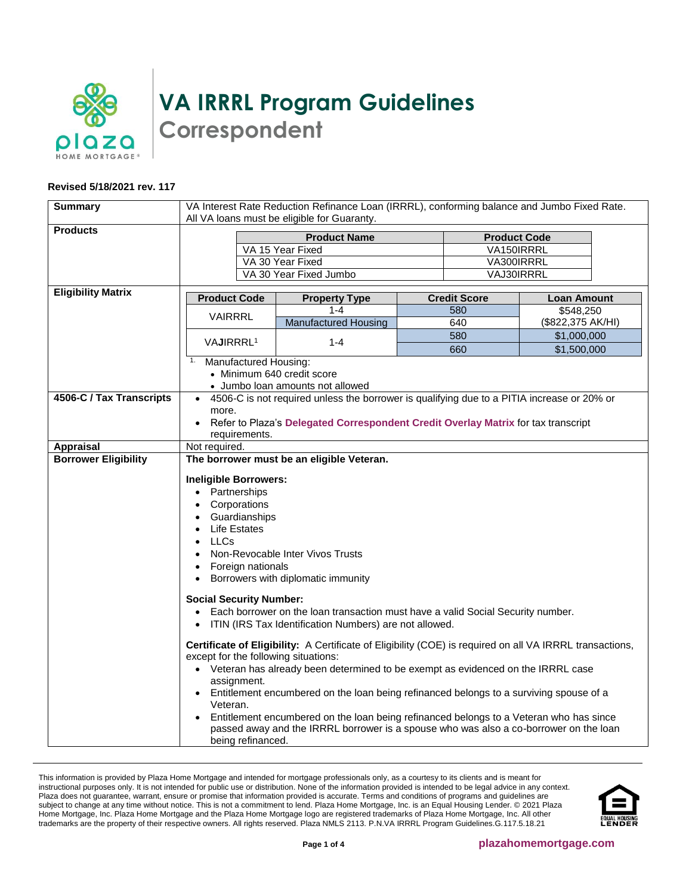

**VA IRRRL Program Guidelines Correspondent**

## **Revised 5/18/2021 rev. 117**

| <b>Summary</b>              | VA Interest Rate Reduction Refinance Loan (IRRRL), conforming balance and Jumbo Fixed Rate.<br>All VA loans must be eligible for Guaranty.                                                                                                                                                                                                                                                                                                                                                                                                                                                                                                                                                                                                                                                                                                                                                                                                                                                                                                                         |                                                                                            |                     |                     |  |
|-----------------------------|--------------------------------------------------------------------------------------------------------------------------------------------------------------------------------------------------------------------------------------------------------------------------------------------------------------------------------------------------------------------------------------------------------------------------------------------------------------------------------------------------------------------------------------------------------------------------------------------------------------------------------------------------------------------------------------------------------------------------------------------------------------------------------------------------------------------------------------------------------------------------------------------------------------------------------------------------------------------------------------------------------------------------------------------------------------------|--------------------------------------------------------------------------------------------|---------------------|---------------------|--|
| <b>Products</b>             |                                                                                                                                                                                                                                                                                                                                                                                                                                                                                                                                                                                                                                                                                                                                                                                                                                                                                                                                                                                                                                                                    |                                                                                            |                     |                     |  |
|                             |                                                                                                                                                                                                                                                                                                                                                                                                                                                                                                                                                                                                                                                                                                                                                                                                                                                                                                                                                                                                                                                                    | <b>Product Name</b>                                                                        |                     | <b>Product Code</b> |  |
|                             |                                                                                                                                                                                                                                                                                                                                                                                                                                                                                                                                                                                                                                                                                                                                                                                                                                                                                                                                                                                                                                                                    | VA 15 Year Fixed                                                                           |                     | VA150IRRRL          |  |
|                             |                                                                                                                                                                                                                                                                                                                                                                                                                                                                                                                                                                                                                                                                                                                                                                                                                                                                                                                                                                                                                                                                    | VA 30 Year Fixed                                                                           |                     | VA300IRRRL          |  |
|                             | VA 30 Year Fixed Jumbo<br>VAJ30IRRRL                                                                                                                                                                                                                                                                                                                                                                                                                                                                                                                                                                                                                                                                                                                                                                                                                                                                                                                                                                                                                               |                                                                                            |                     |                     |  |
| <b>Eligibility Matrix</b>   | <b>Product Code</b>                                                                                                                                                                                                                                                                                                                                                                                                                                                                                                                                                                                                                                                                                                                                                                                                                                                                                                                                                                                                                                                | <b>Property Type</b>                                                                       | <b>Credit Score</b> | <b>Loan Amount</b>  |  |
|                             | <b>VAIRRRL</b>                                                                                                                                                                                                                                                                                                                                                                                                                                                                                                                                                                                                                                                                                                                                                                                                                                                                                                                                                                                                                                                     | $1 - 4$                                                                                    | 580                 | \$548,250           |  |
|                             |                                                                                                                                                                                                                                                                                                                                                                                                                                                                                                                                                                                                                                                                                                                                                                                                                                                                                                                                                                                                                                                                    | <b>Manufactured Housing</b>                                                                | 640                 | (\$822,375 AK/HI)   |  |
|                             |                                                                                                                                                                                                                                                                                                                                                                                                                                                                                                                                                                                                                                                                                                                                                                                                                                                                                                                                                                                                                                                                    |                                                                                            | 580                 | \$1,000,000         |  |
|                             | VAJIRRRL <sup>1</sup>                                                                                                                                                                                                                                                                                                                                                                                                                                                                                                                                                                                                                                                                                                                                                                                                                                                                                                                                                                                                                                              | $1 - 4$                                                                                    | 660                 | \$1,500,000         |  |
|                             | 1.<br>Manufactured Housing:                                                                                                                                                                                                                                                                                                                                                                                                                                                                                                                                                                                                                                                                                                                                                                                                                                                                                                                                                                                                                                        |                                                                                            |                     |                     |  |
|                             | • Minimum 640 credit score                                                                                                                                                                                                                                                                                                                                                                                                                                                                                                                                                                                                                                                                                                                                                                                                                                                                                                                                                                                                                                         |                                                                                            |                     |                     |  |
|                             |                                                                                                                                                                                                                                                                                                                                                                                                                                                                                                                                                                                                                                                                                                                                                                                                                                                                                                                                                                                                                                                                    | • Jumbo loan amounts not allowed                                                           |                     |                     |  |
| 4506-C / Tax Transcripts    |                                                                                                                                                                                                                                                                                                                                                                                                                                                                                                                                                                                                                                                                                                                                                                                                                                                                                                                                                                                                                                                                    | 4506-C is not required unless the borrower is qualifying due to a PITIA increase or 20% or |                     |                     |  |
|                             | more.                                                                                                                                                                                                                                                                                                                                                                                                                                                                                                                                                                                                                                                                                                                                                                                                                                                                                                                                                                                                                                                              |                                                                                            |                     |                     |  |
|                             |                                                                                                                                                                                                                                                                                                                                                                                                                                                                                                                                                                                                                                                                                                                                                                                                                                                                                                                                                                                                                                                                    | Refer to Plaza's Delegated Correspondent Credit Overlay Matrix for tax transcript          |                     |                     |  |
|                             | requirements.                                                                                                                                                                                                                                                                                                                                                                                                                                                                                                                                                                                                                                                                                                                                                                                                                                                                                                                                                                                                                                                      |                                                                                            |                     |                     |  |
| <b>Appraisal</b>            | Not required.                                                                                                                                                                                                                                                                                                                                                                                                                                                                                                                                                                                                                                                                                                                                                                                                                                                                                                                                                                                                                                                      |                                                                                            |                     |                     |  |
| <b>Borrower Eligibility</b> |                                                                                                                                                                                                                                                                                                                                                                                                                                                                                                                                                                                                                                                                                                                                                                                                                                                                                                                                                                                                                                                                    |                                                                                            |                     |                     |  |
|                             | The borrower must be an eligible Veteran.<br><b>Ineligible Borrowers:</b><br>• Partnerships<br>Corporations<br>$\bullet$<br>Guardianships<br>$\bullet$<br><b>Life Estates</b><br><b>LLCs</b><br>$\bullet$<br>Non-Revocable Inter Vivos Trusts<br>Foreign nationals<br>$\bullet$<br>Borrowers with diplomatic immunity<br>$\bullet$<br><b>Social Security Number:</b><br>Each borrower on the loan transaction must have a valid Social Security number.<br>ITIN (IRS Tax Identification Numbers) are not allowed.<br>Certificate of Eligibility: A Certificate of Eligibility (COE) is required on all VA IRRRL transactions,<br>except for the following situations:<br>• Veteran has already been determined to be exempt as evidenced on the IRRRL case<br>assignment.<br>Entitlement encumbered on the loan being refinanced belongs to a surviving spouse of a<br>Veteran.<br>Entitlement encumbered on the loan being refinanced belongs to a Veteran who has since<br>passed away and the IRRRL borrower is a spouse who was also a co-borrower on the loan |                                                                                            |                     |                     |  |

This information is provided by Plaza Home Mortgage and intended for mortgage professionals only, as a courtesy to its clients and is meant for instructional purposes only. It is not intended for public use or distribution. None of the information provided is intended to be legal advice in any context. Plaza does not guarantee, warrant, ensure or promise that information provided is accurate. Terms and conditions of programs and guidelines are subject to change at any time without notice. This is not a commitment to lend. Plaza Home Mortgage, Inc. is an Equal Housing Lender. © 2021 Plaza Home Mortgage, Inc. Plaza Home Mortgage and the Plaza Home Mortgage logo are registered trademarks of Plaza Home Mortgage, Inc. All other trademarks are the property of their respective owners. All rights reserved. Plaza NMLS 2113. P.N.VA IRRRL Program Guidelines.G.117.5.18.21

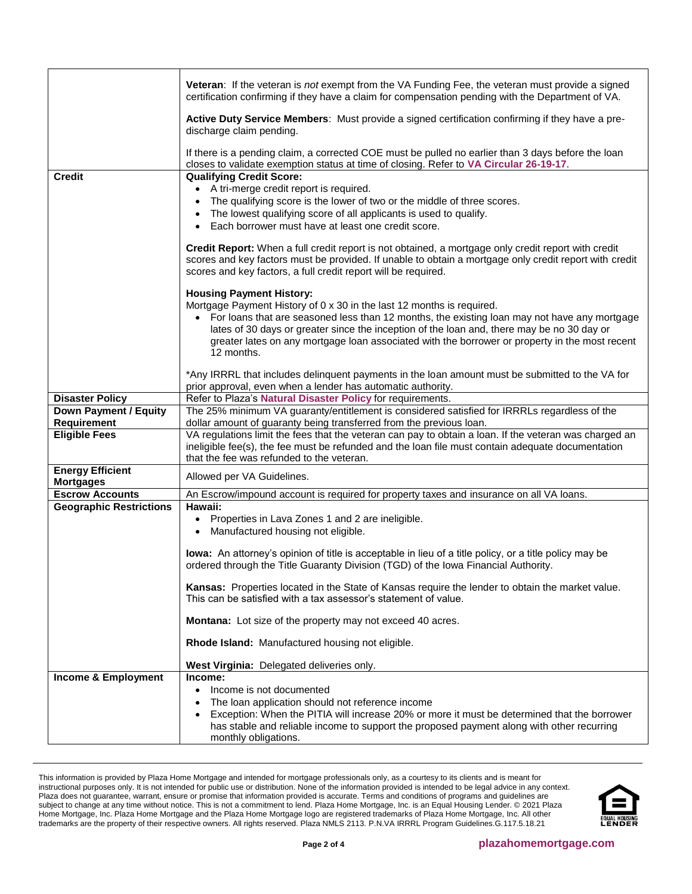|                                             | Veteran: If the veteran is not exempt from the VA Funding Fee, the veteran must provide a signed<br>certification confirming if they have a claim for compensation pending with the Department of VA.                                                                           |
|---------------------------------------------|---------------------------------------------------------------------------------------------------------------------------------------------------------------------------------------------------------------------------------------------------------------------------------|
|                                             | Active Duty Service Members: Must provide a signed certification confirming if they have a pre-<br>discharge claim pending.                                                                                                                                                     |
|                                             | If there is a pending claim, a corrected COE must be pulled no earlier than 3 days before the loan<br>closes to validate exemption status at time of closing. Refer to VA Circular 26-19-17.                                                                                    |
| <b>Credit</b>                               | <b>Qualifying Credit Score:</b>                                                                                                                                                                                                                                                 |
|                                             | • A tri-merge credit report is required.                                                                                                                                                                                                                                        |
|                                             | The qualifying score is the lower of two or the middle of three scores.<br>$\bullet$                                                                                                                                                                                            |
|                                             | The lowest qualifying score of all applicants is used to qualify.                                                                                                                                                                                                               |
|                                             | Each borrower must have at least one credit score.                                                                                                                                                                                                                              |
|                                             | Credit Report: When a full credit report is not obtained, a mortgage only credit report with credit<br>scores and key factors must be provided. If unable to obtain a mortgage only credit report with credit<br>scores and key factors, a full credit report will be required. |
|                                             | <b>Housing Payment History:</b>                                                                                                                                                                                                                                                 |
|                                             | Mortgage Payment History of 0 x 30 in the last 12 months is required.                                                                                                                                                                                                           |
|                                             | • For loans that are seasoned less than 12 months, the existing loan may not have any mortgage                                                                                                                                                                                  |
|                                             | lates of 30 days or greater since the inception of the loan and, there may be no 30 day or                                                                                                                                                                                      |
|                                             | greater lates on any mortgage loan associated with the borrower or property in the most recent<br>12 months.                                                                                                                                                                    |
|                                             | *Any IRRRL that includes delinquent payments in the loan amount must be submitted to the VA for                                                                                                                                                                                 |
|                                             | prior approval, even when a lender has automatic authority.                                                                                                                                                                                                                     |
| <b>Disaster Policy</b>                      | Refer to Plaza's Natural Disaster Policy for requirements.                                                                                                                                                                                                                      |
| <b>Down Payment / Equity</b>                | The 25% minimum VA guaranty/entitlement is considered satisfied for IRRRLs regardless of the                                                                                                                                                                                    |
| Requirement                                 | dollar amount of guaranty being transferred from the previous loan.                                                                                                                                                                                                             |
| <b>Eligible Fees</b>                        | VA regulations limit the fees that the veteran can pay to obtain a loan. If the veteran was charged an                                                                                                                                                                          |
|                                             | ineligible fee(s), the fee must be refunded and the loan file must contain adequate documentation                                                                                                                                                                               |
|                                             | that the fee was refunded to the veteran.                                                                                                                                                                                                                                       |
| <b>Energy Efficient</b><br><b>Mortgages</b> | Allowed per VA Guidelines.                                                                                                                                                                                                                                                      |
| <b>Escrow Accounts</b>                      | An Escrow/impound account is required for property taxes and insurance on all VA loans.                                                                                                                                                                                         |
| <b>Geographic Restrictions</b>              | Hawaii:                                                                                                                                                                                                                                                                         |
|                                             | • Properties in Lava Zones 1 and 2 are ineligible.<br>Manufactured housing not eligible.                                                                                                                                                                                        |
|                                             | $\bullet$                                                                                                                                                                                                                                                                       |
|                                             | lowa: An attorney's opinion of title is acceptable in lieu of a title policy, or a title policy may be                                                                                                                                                                          |
|                                             | ordered through the Title Guaranty Division (TGD) of the Iowa Financial Authority.                                                                                                                                                                                              |
|                                             |                                                                                                                                                                                                                                                                                 |
|                                             | Kansas: Properties located in the State of Kansas require the lender to obtain the market value.<br>This can be satisfied with a tax assessor's statement of value.                                                                                                             |
|                                             | Montana: Lot size of the property may not exceed 40 acres.                                                                                                                                                                                                                      |
|                                             | Rhode Island: Manufactured housing not eligible.                                                                                                                                                                                                                                |
|                                             | West Virginia: Delegated deliveries only.                                                                                                                                                                                                                                       |
| <b>Income &amp; Employment</b>              | Income:                                                                                                                                                                                                                                                                         |
|                                             | Income is not documented<br>$\bullet$                                                                                                                                                                                                                                           |
|                                             | The loan application should not reference income<br>٠                                                                                                                                                                                                                           |
|                                             | Exception: When the PITIA will increase 20% or more it must be determined that the borrower<br>٠<br>has stable and reliable income to support the proposed payment along with other recurring                                                                                   |
|                                             | monthly obligations.                                                                                                                                                                                                                                                            |
|                                             |                                                                                                                                                                                                                                                                                 |

This information is provided by Plaza Home Mortgage and intended for mortgage professionals only, as a courtesy to its clients and is meant for instructional purposes only. It is not intended for public use or distribution. None of the information provided is intended to be legal advice in any context. Plaza does not guarantee, warrant, ensure or promise that information provided is accurate. Terms and conditions of programs and guidelines are subject to change at any time without notice. This is not a commitment to lend. Plaza Home Mortgage, Inc. is an Equal Housing Lender. © 2021 Plaza Home Mortgage, Inc. Plaza Home Mortgage and the Plaza Home Mortgage logo are registered trademarks of Plaza Home Mortgage, Inc. All other trademarks are the property of their respective owners. All rights reserved. Plaza NMLS 2113. P.N.VA IRRRL Program Guidelines.G.117.5.18.21

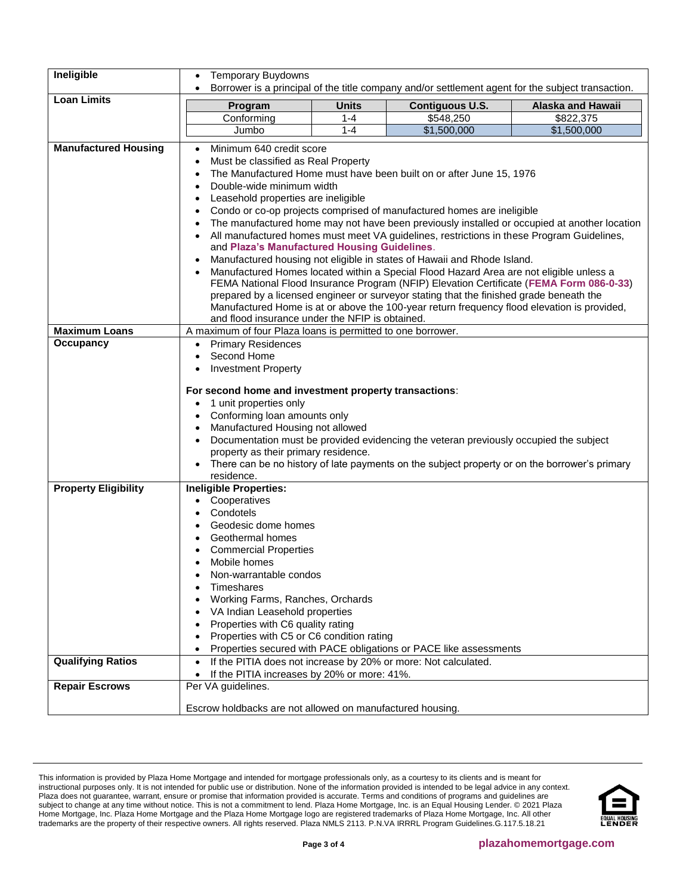| Ineligible                  | <b>Temporary Buydowns</b>                                                                                                                                                                                                                                                                                                                                                                                                                                                                                                                                                                                                                                                                                                                                                                                                                                                                                                                                                                                                                                                                    |              | Borrower is a principal of the title company and/or settlement agent for the subject transaction.                                                                                      |                          |  |
|-----------------------------|----------------------------------------------------------------------------------------------------------------------------------------------------------------------------------------------------------------------------------------------------------------------------------------------------------------------------------------------------------------------------------------------------------------------------------------------------------------------------------------------------------------------------------------------------------------------------------------------------------------------------------------------------------------------------------------------------------------------------------------------------------------------------------------------------------------------------------------------------------------------------------------------------------------------------------------------------------------------------------------------------------------------------------------------------------------------------------------------|--------------|----------------------------------------------------------------------------------------------------------------------------------------------------------------------------------------|--------------------------|--|
| <b>Loan Limits</b>          |                                                                                                                                                                                                                                                                                                                                                                                                                                                                                                                                                                                                                                                                                                                                                                                                                                                                                                                                                                                                                                                                                              | <b>Units</b> | <b>Contiguous U.S.</b>                                                                                                                                                                 | <b>Alaska and Hawaii</b> |  |
|                             | Program<br>Conforming                                                                                                                                                                                                                                                                                                                                                                                                                                                                                                                                                                                                                                                                                                                                                                                                                                                                                                                                                                                                                                                                        | $1 - 4$      | \$548,250                                                                                                                                                                              | \$822,375                |  |
|                             | Jumbo                                                                                                                                                                                                                                                                                                                                                                                                                                                                                                                                                                                                                                                                                                                                                                                                                                                                                                                                                                                                                                                                                        | $1 - 4$      | \$1,500,000                                                                                                                                                                            | \$1,500,000              |  |
|                             |                                                                                                                                                                                                                                                                                                                                                                                                                                                                                                                                                                                                                                                                                                                                                                                                                                                                                                                                                                                                                                                                                              |              |                                                                                                                                                                                        |                          |  |
| <b>Manufactured Housing</b> | Minimum 640 credit score<br>Must be classified as Real Property<br>٠<br>The Manufactured Home must have been built on or after June 15, 1976<br>$\bullet$<br>Double-wide minimum width<br>$\bullet$<br>Leasehold properties are ineligible<br>$\bullet$<br>Condo or co-op projects comprised of manufactured homes are ineligible<br>The manufactured home may not have been previously installed or occupied at another location<br>All manufactured homes must meet VA guidelines, restrictions in these Program Guidelines,<br>and Plaza's Manufactured Housing Guidelines.<br>Manufactured housing not eligible in states of Hawaii and Rhode Island.<br>Manufactured Homes located within a Special Flood Hazard Area are not eligible unless a<br>FEMA National Flood Insurance Program (NFIP) Elevation Certificate (FEMA Form 086-0-33)<br>prepared by a licensed engineer or surveyor stating that the finished grade beneath the<br>Manufactured Home is at or above the 100-year return frequency flood elevation is provided,<br>and flood insurance under the NFIP is obtained. |              |                                                                                                                                                                                        |                          |  |
| <b>Maximum Loans</b>        | A maximum of four Plaza loans is permitted to one borrower.                                                                                                                                                                                                                                                                                                                                                                                                                                                                                                                                                                                                                                                                                                                                                                                                                                                                                                                                                                                                                                  |              |                                                                                                                                                                                        |                          |  |
| Occupancy                   | <b>Primary Residences</b><br>Second Home<br>$\bullet$<br><b>Investment Property</b><br>For second home and investment property transactions:<br>1 unit properties only<br>$\bullet$<br>Conforming loan amounts only<br>Manufactured Housing not allowed<br>property as their primary residence.<br>residence.                                                                                                                                                                                                                                                                                                                                                                                                                                                                                                                                                                                                                                                                                                                                                                                |              | Documentation must be provided evidencing the veteran previously occupied the subject<br>There can be no history of late payments on the subject property or on the borrower's primary |                          |  |
| <b>Property Eligibility</b> | <b>Ineligible Properties:</b><br>Cooperatives<br>Condotels<br>$\bullet$<br>Geodesic dome homes<br>$\bullet$<br>Geothermal homes<br>$\bullet$<br><b>Commercial Properties</b><br>Mobile homes<br>Non-warrantable condos<br>Timeshares<br>Working Farms, Ranches, Orchards<br>VA Indian Leasehold properties<br>Properties with C6 quality rating<br>Properties with C5 or C6 condition rating                                                                                                                                                                                                                                                                                                                                                                                                                                                                                                                                                                                                                                                                                                 |              | Properties secured with PACE obligations or PACE like assessments                                                                                                                      |                          |  |
| <b>Qualifying Ratios</b>    | $\bullet$                                                                                                                                                                                                                                                                                                                                                                                                                                                                                                                                                                                                                                                                                                                                                                                                                                                                                                                                                                                                                                                                                    |              | If the PITIA does not increase by 20% or more: Not calculated.                                                                                                                         |                          |  |
| <b>Repair Escrows</b>       | If the PITIA increases by 20% or more: 41%.<br>Per VA guidelines.                                                                                                                                                                                                                                                                                                                                                                                                                                                                                                                                                                                                                                                                                                                                                                                                                                                                                                                                                                                                                            |              |                                                                                                                                                                                        |                          |  |
|                             | Escrow holdbacks are not allowed on manufactured housing.                                                                                                                                                                                                                                                                                                                                                                                                                                                                                                                                                                                                                                                                                                                                                                                                                                                                                                                                                                                                                                    |              |                                                                                                                                                                                        |                          |  |

This information is provided by Plaza Home Mortgage and intended for mortgage professionals only, as a courtesy to its clients and is meant for instructional purposes only. It is not intended for public use or distribution. None of the information provided is intended to be legal advice in any context. Plaza does not guarantee, warrant, ensure or promise that information provided is accurate. Terms and conditions of programs and guidelines are subject to change at any time without notice. This is not a commitment to lend. Plaza Home Mortgage, Inc. is an Equal Housing Lender. © 2021 Plaza Home Mortgage, Inc. Plaza Home Mortgage and the Plaza Home Mortgage logo are registered trademarks of Plaza Home Mortgage, Inc. All other trademarks are the property of their respective owners. All rights reserved. Plaza NMLS 2113. P.N.VA IRRRL Program Guidelines.G.117.5.18.21